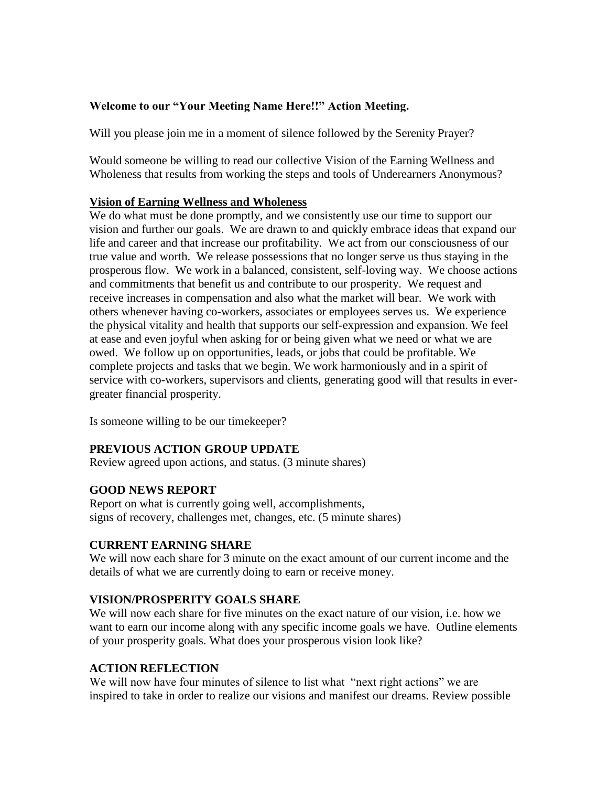### **Welcome to our "Your Meeting Name Here!!" Action Meeting.**

Will you please join me in a moment of silence followed by the Serenity Prayer?

Would someone be willing to read our collective Vision of the Earning Wellness and Wholeness that results from working the steps and tools of Underearners Anonymous?

### **Vision of Earning Wellness and Wholeness**

We do what must be done promptly, and we consistently use our time to support our vision and further our goals. We are drawn to and quickly embrace ideas that expand our life and career and that increase our profitability. We act from our consciousness of our true value and worth. We release possessions that no longer serve us thus staying in the prosperous flow. We work in a balanced, consistent, self-loving way. We choose actions and commitments that benefit us and contribute to our prosperity. We request and receive increases in compensation and also what the market will bear. We work with others whenever having co-workers, associates or employees serves us. We experience the physical vitality and health that supports our self-expression and expansion. We feel at ease and even joyful when asking for or being given what we need or what we are owed. We follow up on opportunities, leads, or jobs that could be profitable. We complete projects and tasks that we begin. We work harmoniously and in a spirit of service with co-workers, supervisors and clients, generating good will that results in evergreater financial prosperity.

Is someone willing to be our timekeeper?

### **PREVIOUS ACTION GROUP UPDATE**

Review agreed upon actions, and status. (3 minute shares)

# **GOOD NEWS REPORT**

Report on what is currently going well, accomplishments, signs of recovery, challenges met, changes, etc. (5 minute shares)

# **CURRENT EARNING SHARE**

We will now each share for 3 minute on the exact amount of our current income and the details of what we are currently doing to earn or receive money.

### **VISION/PROSPERITY GOALS SHARE**

We will now each share for five minutes on the exact nature of our vision, i.e. how we want to earn our income along with any specific income goals we have. Outline elements of your prosperity goals. What does your prosperous vision look like?

### **ACTION REFLECTION**

We will now have four minutes of silence to list what "next right actions" we are inspired to take in order to realize our visions and manifest our dreams. Review possible